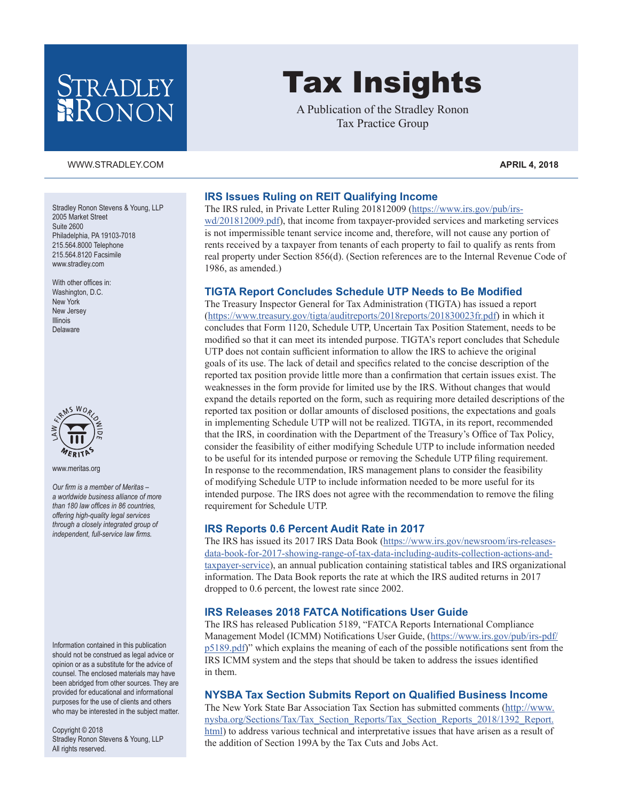## **STRADLEY** RONON

#### [WWW.STRADLEY.COM](www.stradley.com) **APRIL 4, 2018**

Stradley Ronon Stevens & Young, LLP 2005 Market Street Suite 2600 Philadelphia, PA 19103-7018 215.564.8000 Telephone 215.564.8120 Facsimile [www.stradley.com](http://www.stradley.com)

With other offices in: Washington, D.C. New York New Jersey Illinois Delaware



[www.meritas.org](http://www.meritas.org)

*Our firm is a member of Meritas – a worldwide business alliance of more than 180 law offices in 86 countries, offering high-quality legal services through a closely integrated group of independent, full-service law firms.*

Information contained in this publication should not be construed as legal advice or opinion or as a substitute for the advice of counsel. The enclosed materials may have been abridged from other sources. They are provided for educational and informational purposes for the use of clients and others who may be interested in the subject matter.

Copyright © 2018 Stradley Ronon Stevens & Young, LLP All rights reserved.

# Tax Insights

A Publication of the Stradley Ronon Tax Practice Group

#### **IRS Issues Ruling on REIT Qualifying Income**

The IRS ruled, in Private Letter Ruling 201812009 ([https://www.irs.gov/pub/irs](https://www.irs.gov/pub/irs-wd/201812009.pdf)[wd/201812009.pdf\)](https://www.irs.gov/pub/irs-wd/201812009.pdf), that income from taxpayer-provided services and marketing services is not impermissible tenant service income and, therefore, will not cause any portion of rents received by a taxpayer from tenants of each property to fail to qualify as rents from real property under Section 856(d). (Section references are to the Internal Revenue Code of 1986, as amended.)

#### **TIGTA Report Concludes Schedule UTP Needs to Be Modified**

The Treasury Inspector General for Tax Administration (TIGTA) has issued a report [\(https://www.treasury.gov/tigta/auditreports/2018reports/201830023fr.pdf](https://www.treasury.gov/tigta/auditreports/2018reports/201830023fr.pdf)) in which it concludes that Form 1120, Schedule UTP, Uncertain Tax Position Statement, needs to be modified so that it can meet its intended purpose. TIGTA's report concludes that Schedule UTP does not contain sufficient information to allow the IRS to achieve the original goals of its use. The lack of detail and specifics related to the concise description of the reported tax position provide little more than a confirmation that certain issues exist. The weaknesses in the form provide for limited use by the IRS. Without changes that would expand the details reported on the form, such as requiring more detailed descriptions of the reported tax position or dollar amounts of disclosed positions, the expectations and goals in implementing Schedule UTP will not be realized. TIGTA, in its report, recommended that the IRS, in coordination with the Department of the Treasury's Office of Tax Policy, consider the feasibility of either modifying Schedule UTP to include information needed to be useful for its intended purpose or removing the Schedule UTP filing requirement. In response to the recommendation, IRS management plans to consider the feasibility of modifying Schedule UTP to include information needed to be more useful for its intended purpose. The IRS does not agree with the recommendation to remove the filing requirement for Schedule UTP.

#### **IRS Reports 0.6 Percent Audit Rate in 2017**

The IRS has issued its 2017 IRS Data Book ([https://www.irs.gov/newsroom/irs-releases](https://www.irs.gov/newsroom/irs-releases-data-book-for-2017-showing-range-of-tax-data-including-audits-collection-actions-and-taxpayer-service)[data-book-for-2017-showing-range-of-tax-data-including-audits-collection-actions-and](https://www.irs.gov/newsroom/irs-releases-data-book-for-2017-showing-range-of-tax-data-including-audits-collection-actions-and-taxpayer-service)[taxpayer-service\)](https://www.irs.gov/newsroom/irs-releases-data-book-for-2017-showing-range-of-tax-data-including-audits-collection-actions-and-taxpayer-service), an annual publication containing statistical tables and IRS organizational information. The Data Book reports the rate at which the IRS audited returns in 2017 dropped to 0.6 percent, the lowest rate since 2002.

#### **IRS Releases 2018 FATCA Notifications User Guide**

The IRS has released Publication 5189, "FATCA Reports International Compliance Management Model (ICMM) Notifications User Guide, ([https://www.irs.gov/pub/irs-pdf/](https://www.irs.gov/pub/irs-pdf/p5189.pdf) [p5189.pdf](https://www.irs.gov/pub/irs-pdf/p5189.pdf))" which explains the meaning of each of the possible notifications sent from the IRS ICMM system and the steps that should be taken to address the issues identified in them.

#### **NYSBA Tax Section Submits Report on Qualified Business Income**

The New York State Bar Association Tax Section has submitted comments [\(http://www.](http://www.nysba.org/Sections/Tax/Tax_Section_Reports/Tax_Section_Reports_2018/1392_Report.html) [nysba.org/Sections/Tax/Tax\\_Section\\_Reports/Tax\\_Section\\_Reports\\_2018/1392\\_Report.](http://www.nysba.org/Sections/Tax/Tax_Section_Reports/Tax_Section_Reports_2018/1392_Report.html) [html](http://www.nysba.org/Sections/Tax/Tax_Section_Reports/Tax_Section_Reports_2018/1392_Report.html)) to address various technical and interpretative issues that have arisen as a result of the addition of Section 199A by the Tax Cuts and Jobs Act.